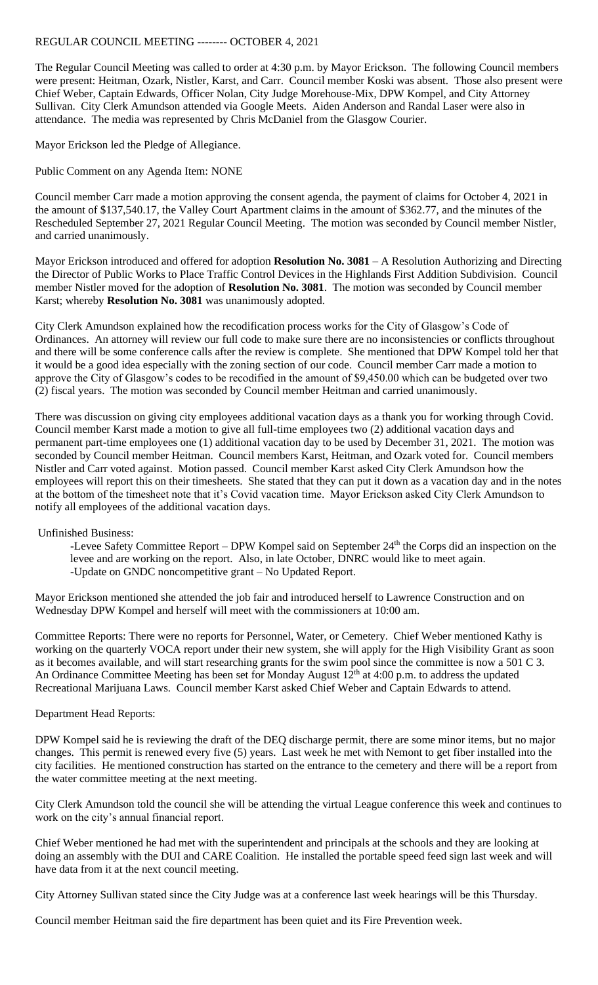## REGULAR COUNCIL MEETING -------- OCTOBER 4, 2021

The Regular Council Meeting was called to order at 4:30 p.m. by Mayor Erickson. The following Council members were present: Heitman, Ozark, Nistler, Karst, and Carr. Council member Koski was absent. Those also present were Chief Weber, Captain Edwards, Officer Nolan, City Judge Morehouse-Mix, DPW Kompel, and City Attorney Sullivan. City Clerk Amundson attended via Google Meets. Aiden Anderson and Randal Laser were also in attendance. The media was represented by Chris McDaniel from the Glasgow Courier.

Mayor Erickson led the Pledge of Allegiance.

Public Comment on any Agenda Item: NONE

Council member Carr made a motion approving the consent agenda, the payment of claims for October 4, 2021 in the amount of \$137,540.17, the Valley Court Apartment claims in the amount of \$362.77, and the minutes of the Rescheduled September 27, 2021 Regular Council Meeting. The motion was seconded by Council member Nistler, and carried unanimously.

Mayor Erickson introduced and offered for adoption **Resolution No. 3081** – A Resolution Authorizing and Directing the Director of Public Works to Place Traffic Control Devices in the Highlands First Addition Subdivision. Council member Nistler moved for the adoption of **Resolution No. 3081**. The motion was seconded by Council member Karst; whereby **Resolution No. 3081** was unanimously adopted.

City Clerk Amundson explained how the recodification process works for the City of Glasgow's Code of Ordinances. An attorney will review our full code to make sure there are no inconsistencies or conflicts throughout and there will be some conference calls after the review is complete. She mentioned that DPW Kompel told her that it would be a good idea especially with the zoning section of our code. Council member Carr made a motion to approve the City of Glasgow's codes to be recodified in the amount of \$9,450.00 which can be budgeted over two (2) fiscal years. The motion was seconded by Council member Heitman and carried unanimously.

There was discussion on giving city employees additional vacation days as a thank you for working through Covid. Council member Karst made a motion to give all full-time employees two (2) additional vacation days and permanent part-time employees one (1) additional vacation day to be used by December 31, 2021. The motion was seconded by Council member Heitman. Council members Karst, Heitman, and Ozark voted for. Council members Nistler and Carr voted against. Motion passed. Council member Karst asked City Clerk Amundson how the employees will report this on their timesheets. She stated that they can put it down as a vacation day and in the notes at the bottom of the timesheet note that it's Covid vacation time. Mayor Erickson asked City Clerk Amundson to notify all employees of the additional vacation days.

Unfinished Business:

-Levee Safety Committee Report – DPW Kompel said on September 24<sup>th</sup> the Corps did an inspection on the levee and are working on the report. Also, in late October, DNRC would like to meet again. -Update on GNDC noncompetitive grant – No Updated Report.

Mayor Erickson mentioned she attended the job fair and introduced herself to Lawrence Construction and on Wednesday DPW Kompel and herself will meet with the commissioners at 10:00 am.

Committee Reports: There were no reports for Personnel, Water, or Cemetery. Chief Weber mentioned Kathy is working on the quarterly VOCA report under their new system, she will apply for the High Visibility Grant as soon as it becomes available, and will start researching grants for the swim pool since the committee is now a 501 C 3. An Ordinance Committee Meeting has been set for Monday August 12<sup>th</sup> at 4:00 p.m. to address the updated Recreational Marijuana Laws. Council member Karst asked Chief Weber and Captain Edwards to attend.

## Department Head Reports:

DPW Kompel said he is reviewing the draft of the DEQ discharge permit, there are some minor items, but no major changes. This permit is renewed every five (5) years. Last week he met with Nemont to get fiber installed into the city facilities. He mentioned construction has started on the entrance to the cemetery and there will be a report from the water committee meeting at the next meeting.

City Clerk Amundson told the council she will be attending the virtual League conference this week and continues to work on the city's annual financial report.

Chief Weber mentioned he had met with the superintendent and principals at the schools and they are looking at doing an assembly with the DUI and CARE Coalition. He installed the portable speed feed sign last week and will have data from it at the next council meeting.

City Attorney Sullivan stated since the City Judge was at a conference last week hearings will be this Thursday.

Council member Heitman said the fire department has been quiet and its Fire Prevention week.